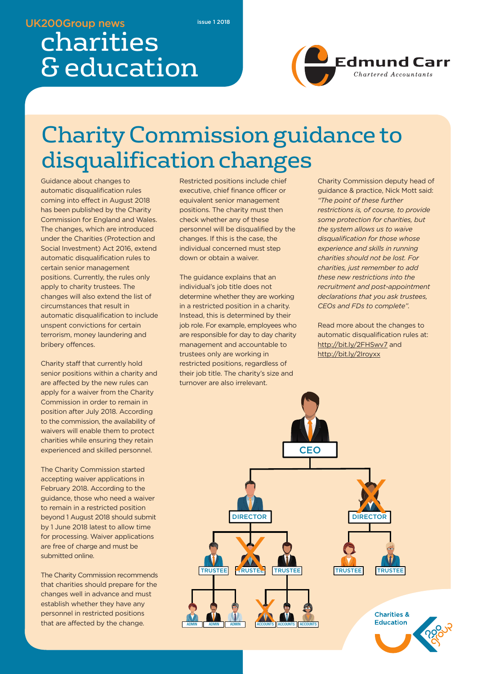#### **UK200Group news**

**issue 1 2018**

# charities & education



## **Charity Commission guidance to** disqualification changes

Guidance about changes to automatic disqualification rules coming into effect in August 2018 has been published by the Charity Commission for England and Wales. The changes, which are introduced under the Charities (Protection and Social Investment) Act 2016, extend automatic disqualification rules to certain senior management positions. Currently, the rules only apply to charity trustees. The changes will also extend the list of circumstances that result in automatic disqualification to include unspent convictions for certain terrorism, money laundering and bribery offences.

Charity staff that currently hold senior positions within a charity and are affected by the new rules can apply for a waiver from the Charity Commission in order to remain in position after July 2018. According to the commission, the availability of waivers will enable them to protect charities while ensuring they retain experienced and skilled personnel.

The Charity Commission started accepting waiver applications in February 2018. According to the guidance, those who need a waiver to remain in a restricted position beyond 1 August 2018 should submit by 1 June 2018 latest to allow time for processing. Waiver applications are free of charge and must be submitted online.

The Charity Commission recommends that charities should prepare for the changes well in advance and must establish whether they have any personnel in restricted positions that are affected by the change.

Restricted positions include chief executive, chief finance officer or equivalent senior management positions. The charity must then check whether any of these personnel will be disqualified by the changes. If this is the case, the individual concerned must step down or obtain a waiver.

The guidance explains that an individual's job title does not determine whether they are working in a restricted position in a charity. Instead, this is determined by their job role. For example, employees who are responsible for day to day charity management and accountable to trustees only are working in restricted positions, regardless of their job title. The charity's size and turnover are also irrelevant.

Charity Commission deputy head of guidance & practice, Nick Mott said: *"The point of these further restrictions is, of course, to provide some protection for charities, but the system allows us to waive disqualification for those whose experience and skills in running charities should not be lost. For charities, just remember to add these new restrictions into the recruitment and post-appointment declarations that you ask trustees, CEOs and FDs to complete".*

Read more about the changes to automatic disqualification rules at: http://bit.ly/2FHSwv7 and http://bit.ly/2Iroyxx

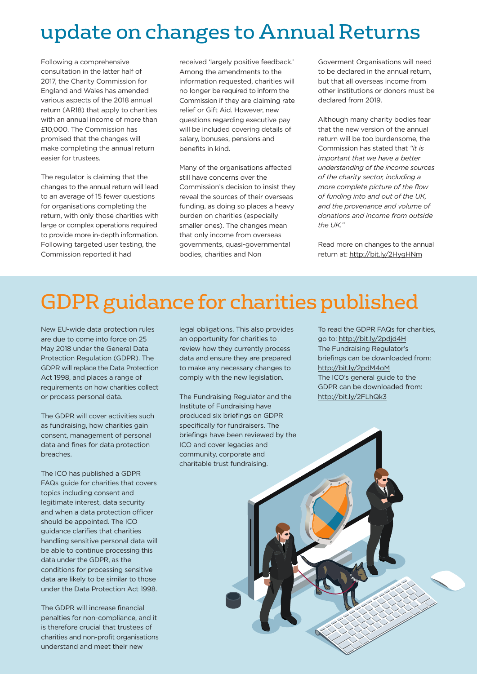### update on changes to Annual Returns

Following a comprehensive consultation in the latter half of 2017, the Charity Commission for England and Wales has amended various aspects of the 2018 annual return (AR18) that apply to charities with an annual income of more than £10,000. The Commission has promised that the changes will make completing the annual return easier for trustees.

The regulator is claiming that the changes to the annual return will lead to an average of 15 fewer questions for organisations completing the return, with only those charities with large or complex operations required to provide more in-depth information. Following targeted user testing, the Commission reported it had

received 'largely positive feedback.' Among the amendments to the information requested, charities will no longer be required to inform the Commission if they are claiming rate relief or Gift Aid. However, new questions regarding executive pay will be included covering details of salary, bonuses, pensions and benefits in kind.

Many of the organisations affected still have concerns over the Commission's decision to insist they reveal the sources of their overseas funding, as doing so places a heavy burden on charities (especially smaller ones). The changes mean that only income from overseas governments, quasi-governmental bodies, charities and Non

Goverment Organisations will need to be declared in the annual return, but that all overseas income from other institutions or donors must be declared from 2019.

Although many charity bodies fear that the new version of the annual return will be too burdensome, the Commission has stated that *"it is important that we have a better understanding of the income sources of the charity sector, including a more complete picture of the flow of funding into and out of the UK, and the provenance and volume of donations and income from outside*  $th$  $\theta$   $l$   $lk$ <sup>"</sup>

Read more on changes to the annual return at: http://bit.ly/2HygHNm

## GDPR guidance for charities published

New EU-wide data protection rules are due to come into force on 25 May 2018 under the General Data Protection Regulation (GDPR). The GDPR will replace the Data Protection Act 1998, and places a range of requirements on how charities collect or process personal data.

The GDPR will cover activities such as fundraising, how charities gain consent, management of personal data and fines for data protection breaches.

The ICO has published a GDPR FAQs guide for charities that covers topics including consent and legitimate interest, data security and when a data protection officer should be appointed. The ICO guidance clarifies that charities handling sensitive personal data will be able to continue processing this data under the GDPR, as the conditions for processing sensitive data are likely to be similar to those under the Data Protection Act 1998.

The GDPR will increase financial penalties for non-compliance, and it is therefore crucial that trustees of charities and non-profit organisations understand and meet their new

legal obligations. This also provides an opportunity for charities to review how they currently process data and ensure they are prepared to make any necessary changes to comply with the new legislation.

The Fundraising Regulator and the Institute of Fundraising have produced six briefings on GDPR specifically for fundraisers. The briefings have been reviewed by the ICO and cover legacies and community, corporate and charitable trust fundraising.

To read the GDPR FAQs for charities, go to: http://bit.ly/2pdjd4H The Fundraising Regulator's briefings can be downloaded from: http://bit.ly/2pdM4oM The ICO's general guide to the GDPR can be downloaded from: http://bit.ly/2FLhQk3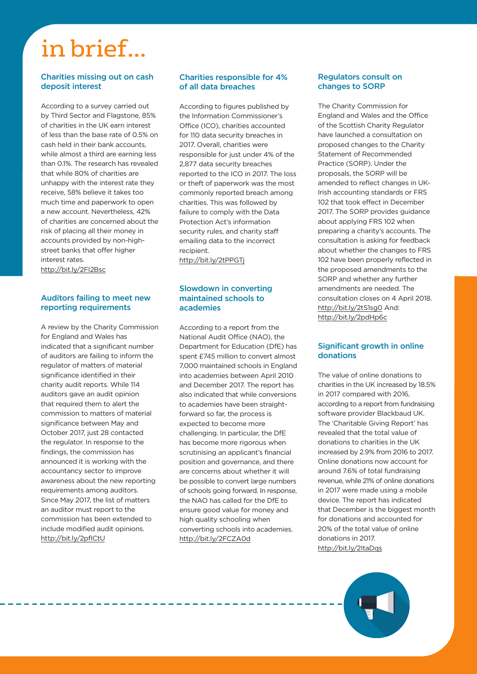# in brief...

#### **Charities missing out on cash deposit interest**

According to a survey carried out by Third Sector and Flagstone, 85% of charities in the UK earn interest of less than the base rate of 0.5% on cash held in their bank accounts, while almost a third are earning less than 0.1%. The research has revealed that while 80% of charities are unhappy with the interest rate they receive, 58% believe it takes too much time and paperwork to open a new account. Nevertheless, 42% of charities are concerned about the risk of placing all their money in accounts provided by non-highstreet banks that offer higher interest rates. http://bit.ly/2FI2Bsc

#### **Auditors failing to meet new reporting requirements**

A review by the Charity Commission for England and Wales has indicated that a significant number of auditors are failing to inform the regulator of matters of material significance identified in their charity audit reports. While 114 auditors gave an audit opinion that required them to alert the commission to matters of material significance between May and October 2017, just 28 contacted the regulator. In response to the findings, the commission has announced it is working with the accountancy sector to improve awareness about the new reporting requirements among auditors. Since May 2017, the list of matters an auditor must report to the commission has been extended to include modified audit opinions. http://bit.ly/2pfICtU

#### **Charities responsible for 4% of all data breaches**

According to figures published by the Information Commissioner's Office (ICO), charities accounted for 110 data security breaches in 2017. Overall, charities were responsible for just under 4% of the 2,877 data security breaches reported to the ICO in 2017. The loss or theft of paperwork was the most commonly reported breach among charities. This was followed by failure to comply with the Data Protection Act's information security rules, and charity staff emailing data to the incorrect recipient. http://bit.ly/2tPPGTj

#### **Slowdown in converting maintained schools to academies**

According to a report from the National Audit Office (NAO), the Department for Education (DfE) has spent £745 million to convert almost 7,000 maintained schools in England into academies between April 2010 and December 2017. The report has also indicated that while conversions to academies have been straightforward so far, the process is expected to become more challenging. In particular, the DfE has become more rigorous when scrutinising an applicant's financial position and governance, and there are concerns about whether it will be possible to convert large numbers of schools going forward. In response, the NAO has called for the DfE to ensure good value for money and high quality schooling when converting schools into academies. http://bit.ly/2FCZA0d

#### **Regulators consult on changes to SORP**

The Charity Commission for England and Wales and the Office of the Scottish Charity Regulator have launched a consultation on proposed changes to the Charity Statement of Recommended Practice (SORP). Under the proposals, the SORP will be amended to reflect changes in UK-Irish accounting standards or FRS 102 that took effect in December 2017. The SORP provides guidance about applying FRS 102 when preparing a charity's accounts. The consultation is asking for feedback about whether the changes to FRS 102 have been properly reflected in the proposed amendments to the SORP and whether any further amendments are needed. The consultation closes on 4 April 2018. http://bit.ly/2tS1sg0 And: http://bit.ly/2pdHp6c

#### **Significant growth in online donations**

The value of online donations to charities in the UK increased by 18.5% in 2017 compared with 2016, according to a report from fundraising software provider Blackbaud UK. The 'Charitable Giving Report' has revealed that the total value of donations to charities in the UK increased by 2.9% from 2016 to 2017. Online donations now account for around 7.6% of total fundraising revenue, while 21% of online donations in 2017 were made using a mobile device. The report has indicated that December is the biggest month for donations and accounted for 20% of the total value of online donations in 2017. http://bit.ly/2ItaDqs